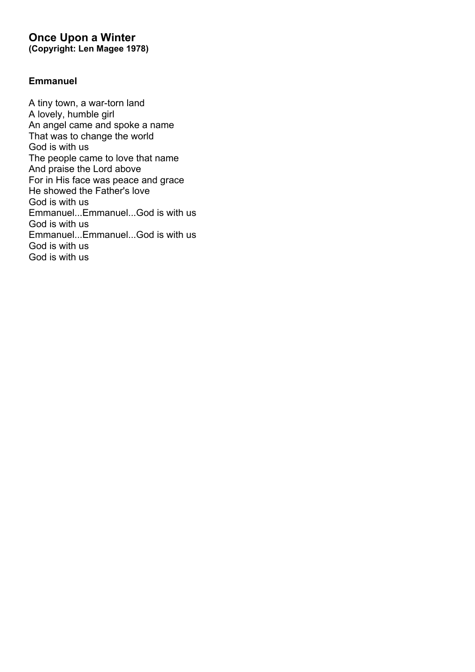### **Once Upon a Winter (Copyright: Len Magee 1978)**

### **Emmanuel**

A tiny town, a war-torn land A lovely, humble girl An angel came and spoke a name That was to change the world God is with us The people came to love that name And praise the Lord above For in His face was peace and grace He showed the Father's love God is with us Emmanuel...Emmanuel...God is with us God is with us Emmanuel...Emmanuel...God is with us God is with us God is with us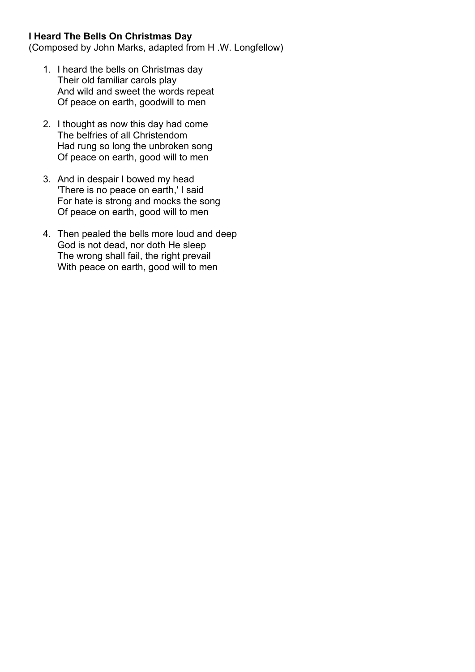### **I Heard The Bells On Christmas Day**

(Composed by John Marks, adapted from H .W. Longfellow)

- 1. I heard the bells on Christmas day Their old familiar carols play And wild and sweet the words repeat Of peace on earth, goodwill to men
- 2. I thought as now this day had come The belfries of all Christendom Had rung so long the unbroken song Of peace on earth, good will to men
- 3. And in despair I bowed my head 'There is no peace on earth,' I said For hate is strong and mocks the song Of peace on earth, good will to men
- 4. Then pealed the bells more loud and deep God is not dead, nor doth He sleep The wrong shall fail, the right prevail With peace on earth, good will to men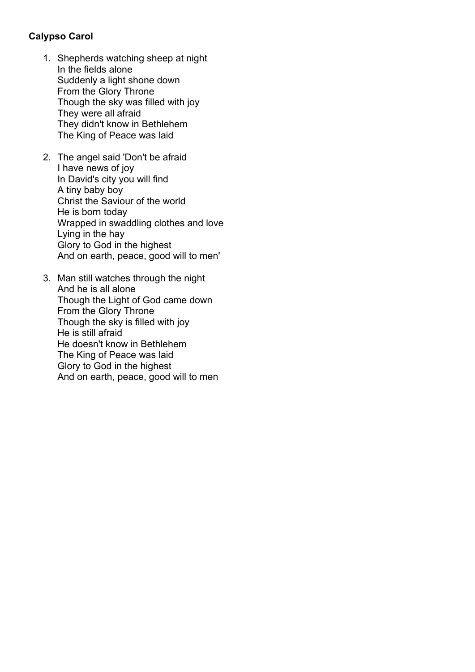# **Calypso Carol**

- 1. Shepherds watching sheep at night In the fields alone Suddenly a light shone down From the Glory Throne Though the sky was filled with joy They were all afraid They didn't know in Bethlehem The King of Peace was laid
- 2. The angel said 'Don't be afraid I have news of joy In David's city you will find A tiny baby boy Christ the Saviour of the world He is born today Wrapped in swaddling clothes and love Lying in the hay Glory to God in the highest And on earth, peace, good will to men'
- 3. Man still watches through the night And he is all alone Though the Light of God came down From the Glory Throne Though the sky is filled with joy He is still afraid He doesn't know in Bethlehem The King of Peace was laid Glory to God in the highest And on earth, peace, good will to men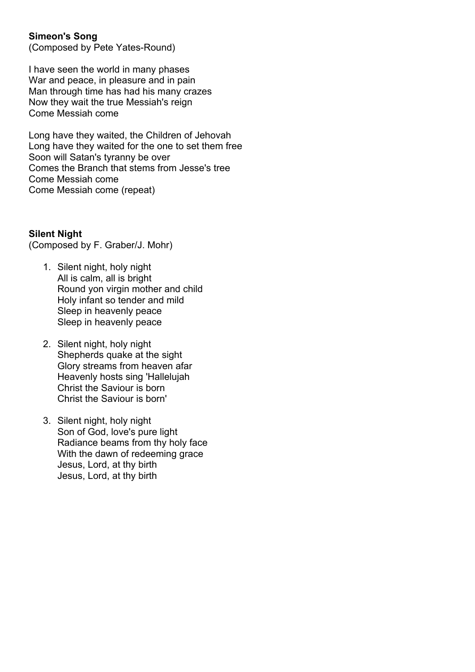## **Simeon's Song**

(Composed by Pete Yates-Round)

I have seen the world in many phases War and peace, in pleasure and in pain Man through time has had his many crazes Now they wait the true Messiah's reign Come Messiah come

Long have they waited, the Children of Jehovah Long have they waited for the one to set them free Soon will Satan's tyranny be over Comes the Branch that stems from Jesse's tree Come Messiah come Come Messiah come (repeat)

#### **Silent Night**

(Composed by F. Graber/J. Mohr)

- 1. Silent night, holy night All is calm, all is bright Round yon virgin mother and child Holy infant so tender and mild Sleep in heavenly peace Sleep in heavenly peace
- 2. Silent night, holy night Shepherds quake at the sight Glory streams from heaven afar Heavenly hosts sing 'Hallelujah Christ the Saviour is born Christ the Saviour is born'
- 3. Silent night, holy night Son of God, love's pure light Radiance beams from thy holy face With the dawn of redeeming grace Jesus, Lord, at thy birth Jesus, Lord, at thy birth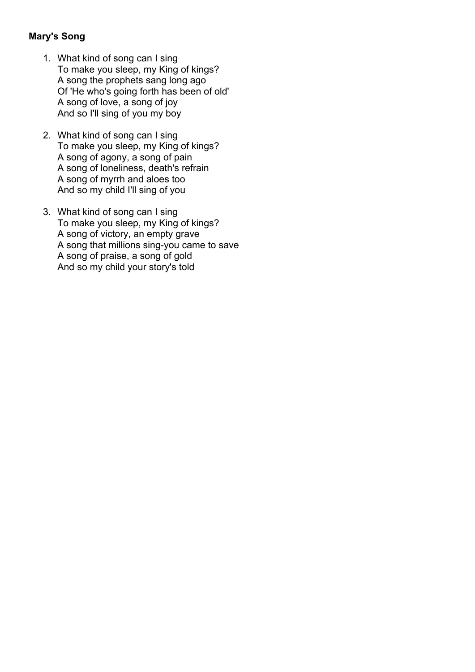## **Mary's Song**

- 1. What kind of song can I sing To make you sleep, my King of kings? A song the prophets sang long ago Of 'He who's going forth has been of old' A song of love, a song of joy And so I'll sing of you my boy
- 2. What kind of song can I sing To make you sleep, my King of kings? A song of agony, a song of pain A song of loneliness, death's refrain A song of myrrh and aloes too And so my child I'll sing of you
- 3. What kind of song can I sing To make you sleep, my King of kings? A song of victory, an empty grave A song that millions sing-you came to save A song of praise, a song of gold And so my child your story's told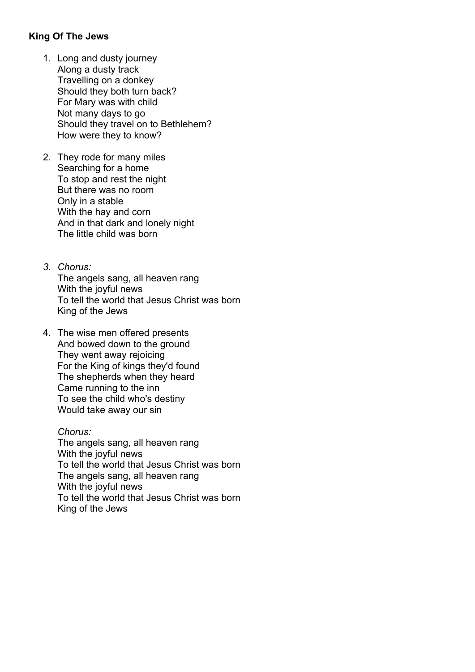### **King Of The Jews**

- 1. Long and dusty journey Along a dusty track Travelling on a donkey Should they both turn back? For Mary was with child Not many days to go Should they travel on to Bethlehem? How were they to know?
- 2. They rode for many miles Searching for a home To stop and rest the night But there was no room Only in a stable With the hay and corn And in that dark and lonely night The little child was born
- *3. Chorus:* The angels sang, all heaven rang With the joyful news To tell the world that Jesus Christ was born King of the Jews
- 4. The wise men offered presents And bowed down to the ground They went away rejoicing For the King of kings they'd found The shepherds when they heard Came running to the inn To see the child who's destiny Would take away our sin

*Chorus:* The angels sang, all heaven rang With the joyful news To tell the world that Jesus Christ was born The angels sang, all heaven rang With the joyful news To tell the world that Jesus Christ was born King of the Jews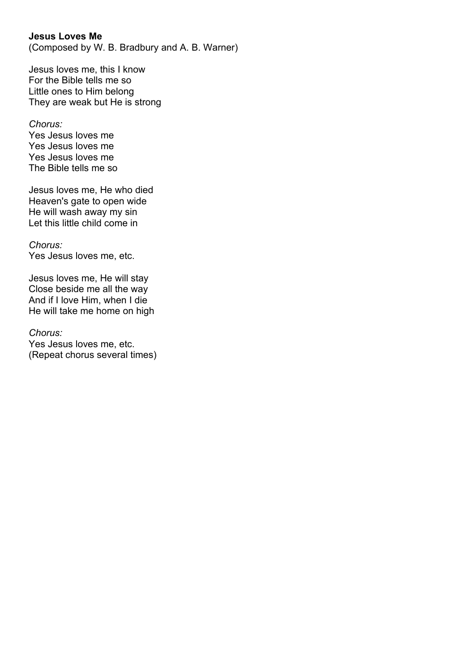### **Jesus Loves Me**

(Composed by W. B. Bradbury and A. B. Warner)

Jesus loves me, this I know For the Bible tells me so Little ones to Him belong They are weak but He is strong

#### *Chorus:*

Yes Jesus loves me Yes Jesus loves me Yes Jesus loves me The Bible tells me so

Jesus loves me, He who died Heaven's gate to open wide He will wash away my sin Let this little child come in

#### *Chorus:*

Yes Jesus loves me, etc.

Jesus loves me, He will stay Close beside me all the way And if I love Him, when I die He will take me home on high

#### *Chorus:*

Yes Jesus loves me, etc. (Repeat chorus several times)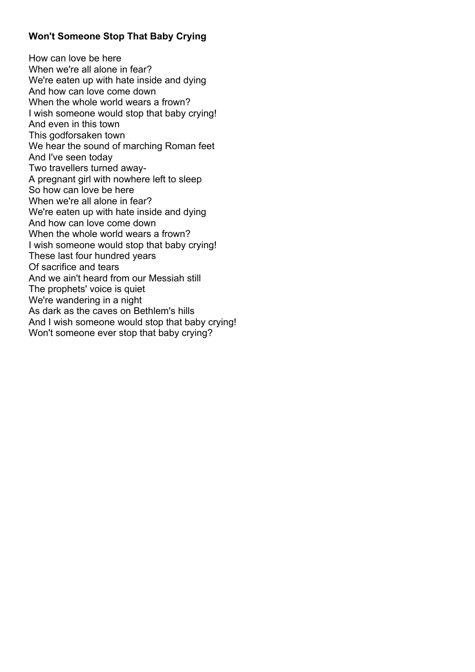## **Won't Someone Stop That Baby Crying**

How can love be here When we're all alone in fear? We're eaten up with hate inside and dying And how can love come down When the whole world wears a frown? I wish someone would stop that baby crying! And even in this town This godforsaken town We hear the sound of marching Roman feet And I've seen today Two travellers turned away-A pregnant girl with nowhere left to sleep So how can love be here When we're all alone in fear? We're eaten up with hate inside and dying And how can love come down When the whole world wears a frown? I wish someone would stop that baby crying! These last four hundred years Of sacrifice and tears And we ain't heard from our Messiah still The prophets' voice is quiet We're wandering in a night As dark as the caves on Bethlem's hills And I wish someone would stop that baby crying! Won't someone ever stop that baby crying?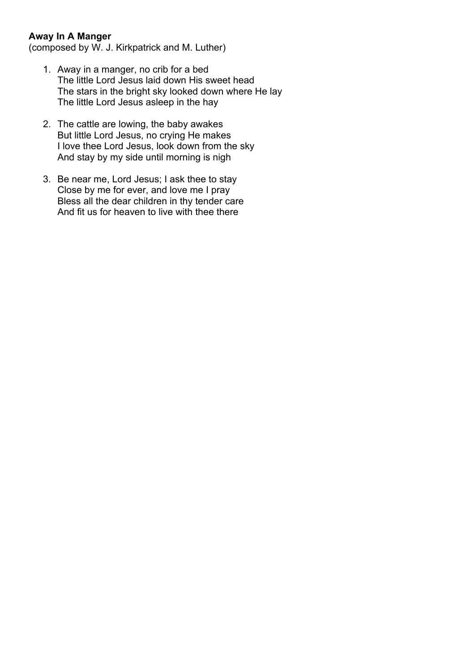## **Away In A Manger**

(composed by W. J. Kirkpatrick and M. Luther)

- 1. Away in a manger, no crib for a bed The little Lord Jesus laid down His sweet head The stars in the bright sky looked down where He lay The little Lord Jesus asleep in the hay
- 2. The cattle are lowing, the baby awakes But little Lord Jesus, no crying He makes I love thee Lord Jesus, look down from the sky And stay by my side until morning is nigh
- 3. Be near me, Lord Jesus; I ask thee to stay Close by me for ever, and love me I pray Bless all the dear children in thy tender care And fit us for heaven to live with thee there